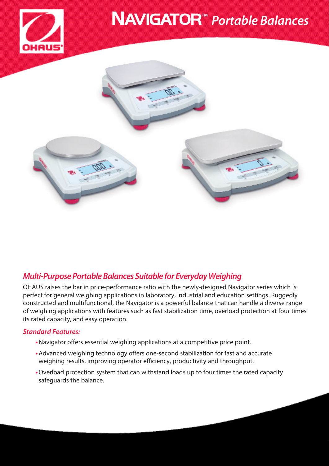

# NAVIGATOR™ *Portable Balances*



## *Multi-Purpose Portable Balances Suitable for Everyday Weighing*

OHAUS raises the bar in price-performance ratio with the newly-designed Navigator series which is perfect for general weighing applications in laboratory, industrial and education settings. Ruggedly constructed and multifunctional, the Navigator is a powerful balance that can handle a diverse range of weighing applications with features such as fast stabilization time, overload protection at four times its rated capacity, and easy operation.

### *Standard Features:*

- **•**Navigator offers essential weighing applications at a competitive price point.
- **•**Advanced weighing technology offers one-second stabilization for fast and accurate weighing results, improving operator efficiency, productivity and throughput.
- **•**Overload protection system that can withstand loads up to four times the rated capacity safeguards the balance.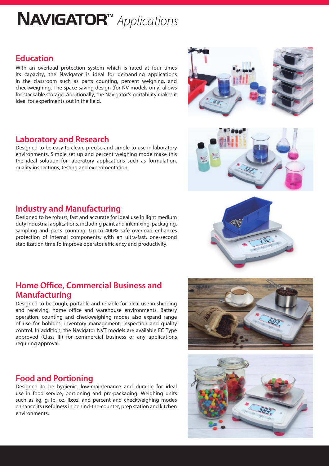# NAVIGATOR™ *Applications*

## **Education**

With an overload protection system which is rated at four times its capacity, the Navigator is ideal for demanding applications in the classroom such as parts counting, percent weighing, and checkweighing. The space-saving design (for NV models only) allows for stackable storage. Additionally, the Navigator's portability makes it ideal for experiments out in the field.

## **Laboratory and Research**

Designed to be easy to clean, precise and simple to use in laboratory environments. Simple set up and percent weighing mode make this the ideal solution for laboratory applications such as formulation, quality inspections, testing and experimentation.

## **Industry and Manufacturing**

Designed to be robust, fast and accurate for ideal use in light medium duty industrial applications, including paint and ink mixing, packaging, sampling and parts counting. Up to 400% safe overload enhances protection of internal components, with an ultra-fast, one-second stabilization time to improve operator efficiency and productivity.

## **Home Office, Commercial Business and Manufacturing**

Designed to be tough, portable and reliable for ideal use in shipping and receiving, home office and warehouse environments. Battery operation, counting and checkweighing modes also expand range of use for hobbies, inventory management, inspection and quality control. In addition, the Navigator NVT models are available EC Type approved (Class III) for commercial business or any applications requiring approval.

## **Food and Portioning**

Designed to be hygienic, low-maintenance and durable for ideal use in food service, portioning and pre-packaging. Weighing units such as kg, g, lb, oz, lb:oz, and percent and checkweighing modes enhance its usefulness in behind-the-counter, prep station and kitchen environments.







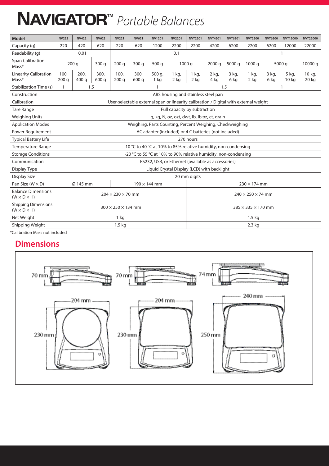# NAVIGATOR™ *Portable Balances*

| Model                                                 | <b>NV222</b>                                                                          | <b>NV422</b>                                           | <b>NV622</b>  | <b>NV221</b> | <b>NV621</b>  | <b>NV1201</b>                  | <b>NV2201</b>     | <b>NVT2201</b>  | <b>NVT4201</b>  | <b>NVT6201</b> | <b>NVT2200</b>             | <b>NVT6200</b> | <b>NVT12000</b> | <b>NVT22000</b> |
|-------------------------------------------------------|---------------------------------------------------------------------------------------|--------------------------------------------------------|---------------|--------------|---------------|--------------------------------|-------------------|-----------------|-----------------|----------------|----------------------------|----------------|-----------------|-----------------|
| Capacity (q)                                          | 220                                                                                   | 420                                                    | 620           | 220          | 620           | 1200                           | 2200              | 2200            | 4200            | 6200           | 2200                       | 6200           | 12000           | 22000           |
| Readability (g)                                       |                                                                                       | 0.01<br>0.1                                            |               |              |               |                                |                   |                 |                 |                |                            |                |                 |                 |
| Span Calibration<br>Mass*                             |                                                                                       | 200 <sub>g</sub><br>300q                               |               | 200q         | 300q          | 500q                           | 1000 g            |                 | 2000q           | 5000 g         | 1000a                      |                | 5000 g          | 10000 g         |
| <b>Linearity Calibration</b><br>Mass*                 | 100.<br>200q                                                                          | 200.<br>400 <sub>a</sub>                               | 300.<br>600 a | 100.<br>200q | 300,<br>600 g | 500 g,<br>1 <sub>ka</sub>      | $1$ kg,<br>$2$ kg | $1$ kg,<br>2 kg | $2$ kg,<br>4 kg | 3 kg,<br>6 kg  | $1$ kg,<br>2 <sub>ka</sub> | 3 kg,<br>6 kg  | 5 kg,<br>10 kg  | 10 kg,<br>20 kg |
| Stabilization Time (s)                                | 1                                                                                     |                                                        | 1.5           | $\mathbf{1}$ |               |                                |                   |                 | 1.5             |                |                            |                |                 |                 |
| Construction                                          | ABS housing and stainless steel pan                                                   |                                                        |               |              |               |                                |                   |                 |                 |                |                            |                |                 |                 |
| Calibration                                           | User-selectable external span or linearity calibration / Digital with external weight |                                                        |               |              |               |                                |                   |                 |                 |                |                            |                |                 |                 |
| <b>Tare Range</b>                                     | Full capacity by subtraction                                                          |                                                        |               |              |               |                                |                   |                 |                 |                |                            |                |                 |                 |
| <b>Weighing Units</b>                                 | g, kg, N, oz, ozt, dwt, lb, lb:oz, ct, grain                                          |                                                        |               |              |               |                                |                   |                 |                 |                |                            |                |                 |                 |
| <b>Application Modes</b>                              | Weighing, Parts Counting, Percent Weighing, Checkweighing                             |                                                        |               |              |               |                                |                   |                 |                 |                |                            |                |                 |                 |
| Power Requirement                                     | AC adapter (included) or 4 C batteries (not included)                                 |                                                        |               |              |               |                                |                   |                 |                 |                |                            |                |                 |                 |
| <b>Typical Battery Life</b>                           | 270 hours                                                                             |                                                        |               |              |               |                                |                   |                 |                 |                |                            |                |                 |                 |
| Temperature Range                                     | 10 °C to 40 °C at 10% to 85% relative humidity, non-condensing                        |                                                        |               |              |               |                                |                   |                 |                 |                |                            |                |                 |                 |
| <b>Storage Conditions</b>                             | -20 °C to 55 °C at 10% to 90% relative humidity, non-condensing                       |                                                        |               |              |               |                                |                   |                 |                 |                |                            |                |                 |                 |
| Communication                                         | RS232, USB, or Ethernet (available as accessories)                                    |                                                        |               |              |               |                                |                   |                 |                 |                |                            |                |                 |                 |
| Display Type                                          | Liquid Crystal Display (LCD) with backlight                                           |                                                        |               |              |               |                                |                   |                 |                 |                |                            |                |                 |                 |
| <b>Display Size</b>                                   | 20 mm digits                                                                          |                                                        |               |              |               |                                |                   |                 |                 |                |                            |                |                 |                 |
| Pan Size ( $W \times D$ )                             |                                                                                       | Ø 145 mm<br>$190 \times 144$ mm<br>$230 \times 174$ mm |               |              |               |                                |                   |                 |                 |                |                            |                |                 |                 |
| <b>Balance Dimensions</b><br>$(W \times D \times H)$  | $204 \times 230 \times 70$ mm                                                         |                                                        |               |              |               | $240 \times 250 \times 74$ mm  |                   |                 |                 |                |                            |                |                 |                 |
| <b>Shipping Dimensions</b><br>$(W \times D \times H)$ | $300 \times 250 \times 134$ mm                                                        |                                                        |               |              |               | $385 \times 335 \times 170$ mm |                   |                 |                 |                |                            |                |                 |                 |
| Net Weight                                            | 1 kg                                                                                  |                                                        |               |              |               | $1.5 \text{ kg}$               |                   |                 |                 |                |                            |                |                 |                 |
| Shipping Weight                                       | $1.5 \text{ kg}$                                                                      |                                                        |               |              |               | 2.3 kg                         |                   |                 |                 |                |                            |                |                 |                 |

\*Calibration Mass not included

## **Dimensions**